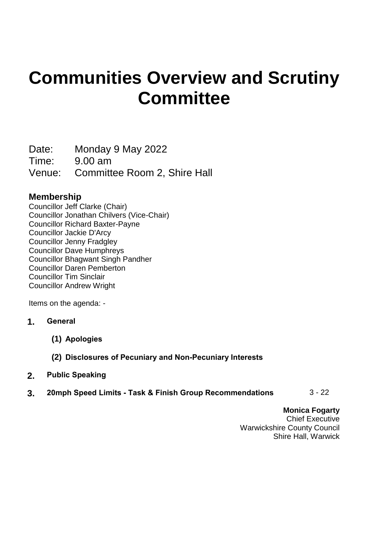# **Communities Overview and Scrutiny Committee**

Date: Monday 9 May 2022

Time: 9.00 am

Venue: Committee Room 2, Shire Hall

## **Membership**

Councillor Jeff Clarke (Chair) Councillor Jonathan Chilvers (Vice-Chair) Councillor Richard Baxter-Payne Councillor Jackie D'Arcy Councillor Jenny Fradgley Councillor Dave Humphreys Councillor Bhagwant Singh Pandher Councillor Daren Pemberton Councillor Tim Sinclair Councillor Andrew Wright

Items on the agenda: -

- **1. General**
	- **(1) Apologies**
	- **(2) Disclosures of Pecuniary and Non-Pecuniary Interests**
- **2. Public Speaking**
- **3. 20mph Speed Limits - Task & Finish Group Recommendations** 3 22

**Monica Fogarty** Chief Executive Warwickshire County Council Shire Hall, Warwick